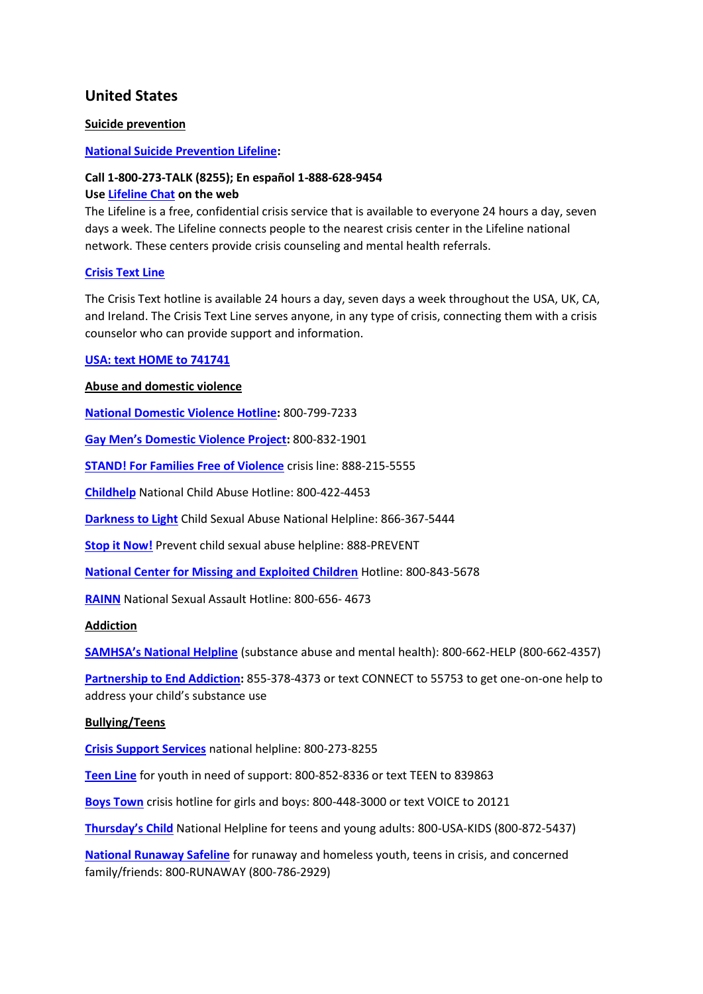# **United States**

# **Suicide prevention**

# **[National Suicide Prevention Lifeline:](https://suicidepreventionlifeline.org/)**

#### **Call 1-800-273-TALK (8255); En español 1-888-628-9454**

### **Use [Lifeline Chat](https://suicidepreventionlifeline.org/chat/) on the web**

The Lifeline is a free, confidential crisis service that is available to everyone 24 hours a day, seven days a week. The Lifeline connects people to the nearest crisis center in the Lifeline national network. These centers provide crisis counseling and mental health referrals.

### **[Crisis Text Line](https://www.crisistextline.org/)**

The Crisis Text hotline is available 24 hours a day, seven days a week throughout the USA, UK, CA, and Ireland. The Crisis Text Line serves anyone, in any type of crisis, connecting them with a crisis counselor who can provide support and information.

### **[USA: text HOME to 741741](https://www.crisistextline.org/text-us/)**

### **Abuse and domestic violence**

**[National Domestic Violence Hotline:](http://www.thehotline.org/)** 800-799-7233

**[Gay Men's Domestic Violence Project](http://gmdvp.org/gmdvp/):** 800-832-1901

**[STAND! For Families Free of Violence](https://www.standffov.org/contact/)** crisis line: 888-215-5555

**[Childhelp](https://childhelphotline.org/)** National Child Abuse Hotline: 800-422-4453

**[Darkness to Light](https://www.d2l.org/get-help/)** Child Sexual Abuse National Helpline: 866-367-5444

**[Stop it Now!](https://www.stopitnow.org/)** Prevent child sexual abuse helpline: 888-PREVENT

**[National Center for Missing and Exploited Children](http://www.missingkids.com/home)** Hotline: 800-843-5678

**[RAINN](https://www.rainn.org/about-national-sexual-assault-telephone-hotline)** National Sexual Assault Hotline: 800-656- 4673

#### **Addiction**

**[SAMHSA's National Helpline](https://www.samhsa.gov/find-help/national-helpline)** (substance abuse and mental health): 800-662-HELP (800-662-4357)

**[Partnership to End Addiction:](https://drugfree.org/article/get-one-on-one-help/)** 855-378-4373 or text CONNECT to 55753 to get one-on-one help to address your child's substance use

#### **Bullying/Teens**

**[Crisis Support Services](https://cssnv.org/)** national helpline: 800-273-8255

**[Teen Line](https://teenlineonline.org/)** for youth in need of support: 800-852-8336 or text TEEN to 839863

**[Boys Town](https://www.boystown.org/hotline/Pages/default.aspx)** crisis hotline for girls and boys: 800-448-3000 or text VOICE to 20121

**[Thursday's Child](https://www.thursdayschild.org/html/about.html)** National Helpline for teens and young adults: 800-USA-KIDS (800-872-5437)

**[National Runaway Safeline](https://www.1800runaway.org/)** for runaway and homeless youth, teens in crisis, and concerned family/friends: 800-RUNAWAY (800-786-2929)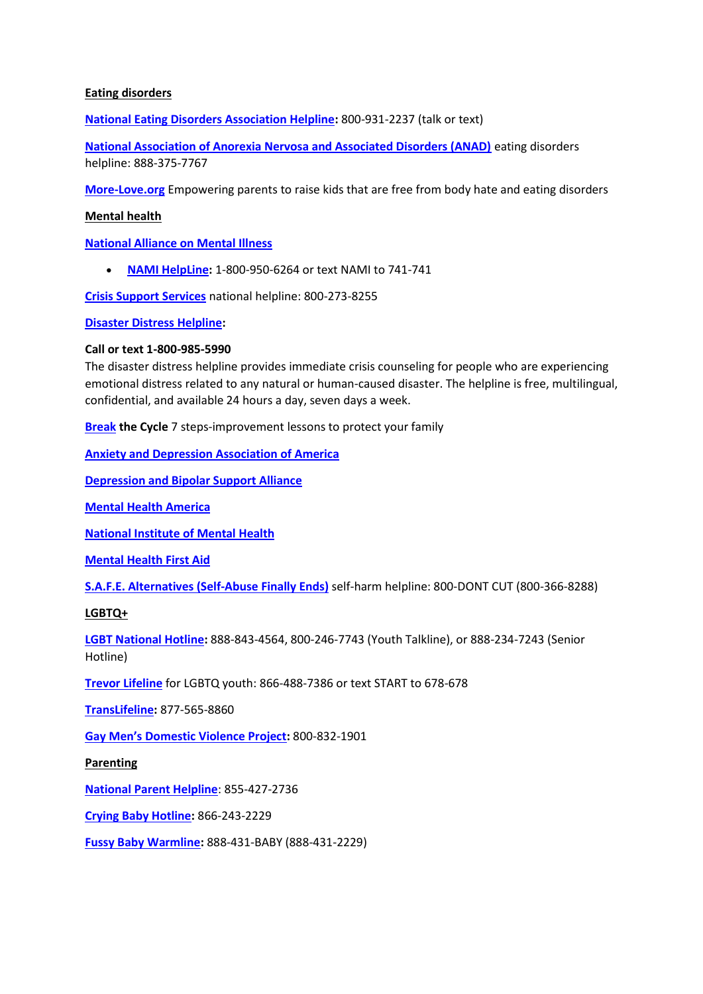# **Eating disorders**

**[National Eating Disorders Association Helpline:](https://www.nationaleatingdisorders.org/help-support/contact-helpline)** 800-931-2237 (talk or text)

**[National Association of Anorexia Nervosa and Associated Disorders \(ANAD\)](https://anad.org/get-help/eating-disorders-helpline/)** eating disorders helpline: 888-375-7767

**[More-Love.org](https://therapistuncensored.com/resources2/more-love.org)** Empowering parents to raise kids that are free from body hate and eating disorders

# **Mental health**

**[National Alliance on Mental Illness](http://www.nami.org/)**

• **[NAMI HelpLine:](http://www.nami.org/Find-Support/NAMI-HelpLine)** 1-800-950-6264 or text NAMI to 741-741

**[Crisis Support Services](https://cssnv.org/)** national helpline: 800-273-8255

**[Disaster Distress Helpline:](https://www.samhsa.gov/find-help/disaster-distress-helpline)**

### **Call or text 1-800-985-5990**

The disaster distress helpline provides immediate crisis counseling for people who are experiencing emotional distress related to any natural or human-caused disaster. The helpline is free, multilingual, confidential, and available 24 hours a day, seven days a week.

**[Break](http://sfhelp.org/) the Cycle** 7 steps-improvement lessons to protect your family

**[Anxiety and Depression Association of America](http://www.adaa.org/)**

**[Depression and Bipolar Support Alliance](http://www.dbsalliance.org/)**

**[Mental Health America](http://www.mentalhealthamerica.net/)**

**[National Institute of Mental Health](https://www.nimh.nih.gov/)**

**[Mental Health First Aid](https://www.mentalhealthfirstaid.org/)**

**[S.A.F.E. Alternatives \(Self-Abuse Finally Ends\)](https://selfinjury.com/)** self-harm helpline: 800-DONT CUT (800-366-8288)

# **LGBTQ+**

**[LGBT National Hotline:](https://www.glbthotline.org/)** 888-843-4564, 800-246-7743 (Youth Talkline), or 888-234-7243 (Senior Hotline)

**[Trevor Lifeline](https://www.thetrevorproject.org/get-help-now/)** for LGBTQ youth: 866-488-7386 or text START to 678-678

**[TransLifeline:](https://translifeline.org/)** 877-565-8860

**[Gay Men's Domestic Violence Project](http://gmdvp.org/gmdvp/):** 800-832-1901

#### **Parenting**

**[National Parent Helpline](http://www.nationalparenthelpline.org/)**: 855-427-2736

**[Crying Baby Hotline:](http://safebaby.org/)** 866-243-2229

**[Fussy Baby Warmline:](https://www.erikson.edu/fussy-baby-network/)** 888-431-BABY (888-431-2229)